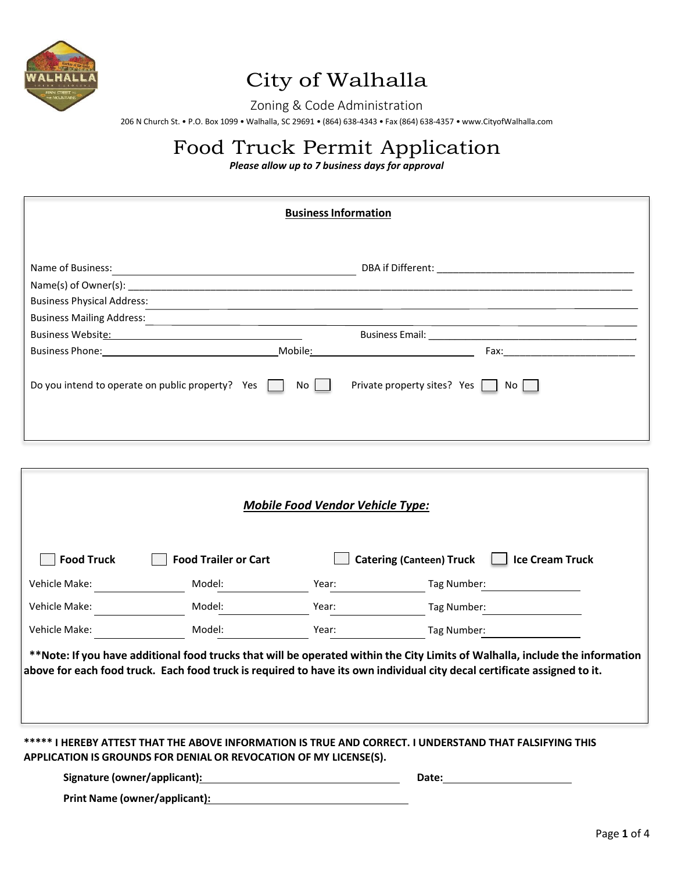

### City of Walhalla

Zoning & Code Administration

206 N Church St. • P.O. Box 1099 • Walhalla, SC 29691 • (864) 638-4343 • Fax (864) 638-4357 • [www.CityofWalhalla.com](http://www.cityofwalhalla.com/)

## Food Truck Permit Application

*Please allow up to 7 business days for approval*

| <b>Business Information</b>                                                                                                               |         |                                                              |  |  |
|-------------------------------------------------------------------------------------------------------------------------------------------|---------|--------------------------------------------------------------|--|--|
| Name of Business:<br><u> 1980 - Johann Barbara, martxa alemaniar argametar a contra a contra a contra a contra a contra a contra a co</u> |         |                                                              |  |  |
| <b>Business Physical Address:</b><br><b>Business Mailing Address:</b>                                                                     |         |                                                              |  |  |
| Business Website: Management of the Management of the Management of the Management of the Management of the Ma                            | Mobile: | <u> 1989 - Johann Barbara, martxa eta idazlea (h. 1989).</u> |  |  |
| Do you intend to operate on public property? Yes                                                                                          | No      | Private property sites? Yes No                               |  |  |
|                                                                                                                                           |         |                                                              |  |  |

| <b>Food Truck</b> | <b>Food Trailer or Cart</b> |       | <b>Ice Cream Truck</b><br><b>Catering (Canteen) Truck</b>                                                                                                                                                                                                |
|-------------------|-----------------------------|-------|----------------------------------------------------------------------------------------------------------------------------------------------------------------------------------------------------------------------------------------------------------|
| Vehicle Make:     | Model:                      | Year: | Tag Number:                                                                                                                                                                                                                                              |
| Vehicle Make:     | Model:                      | Year: | Tag Number:                                                                                                                                                                                                                                              |
| Vehicle Make:     | Model:                      | Year: | Tag Number:                                                                                                                                                                                                                                              |
|                   |                             |       | **Note: If you have additional food trucks that will be operated within the City Limits of Walhalla, include the information<br>above for each food truck. Each food truck is required to have its own individual city decal certificate assigned to it. |
|                   |                             |       |                                                                                                                                                                                                                                                          |

**Print Name (owner/applicant):**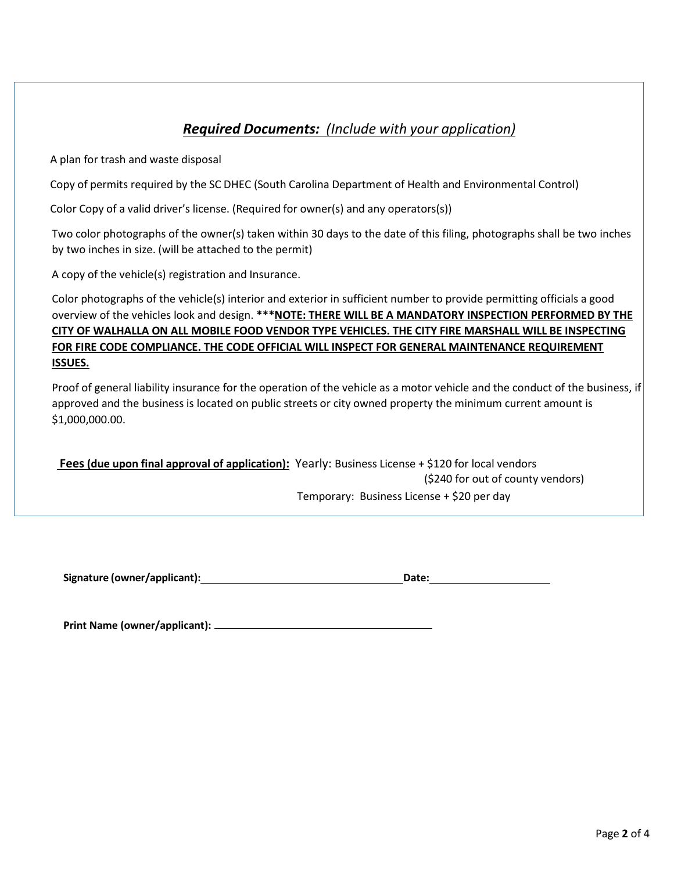#### *Required Documents: (Include with your application)*

A plan for trash and waste disposal

Copy of permits required by the SC DHEC (South Carolina Department of Health and Environmental Control)

Color Copy of a valid driver's license. (Required for owner(s) and any operators(s))

Two color photographs of the owner(s) taken within 30 days to the date of this filing, photographs shall be two inches by two inches in size. (will be attached to the permit)

A copy of the vehicle(s) registration and Insurance.

Color photographs of the vehicle(s) interior and exterior in sufficient number to provide permitting officials a good overview of the vehicles look and design. **\*\*\*NOTE: THERE WILL BE A MANDATORY INSPECTION PERFORMED BY THE CITY OF WALHALLA ON ALL MOBILE FOOD VENDOR TYPE VEHICLES. THE CITY FIRE MARSHALL WILL BE INSPECTING FOR FIRE CODE COMPLIANCE. THE CODE OFFICIAL WILL INSPECT FOR GENERAL MAINTENANCE REQUIREMENT ISSUES.**

Proof of general liability insurance for the operation of the vehicle as a motor vehicle and the conduct of the business, if approved and the business is located on public streets or city owned property the minimum current amount is \$1,000,000.00.

**Fees (due upon final approval of application):** Yearly: Business License + \$120 for local vendors (\$240 for out of county vendors) Temporary: Business License + \$20 per day

**Signature (owner/applicant): Date:**

**Print Name (owner/applicant):**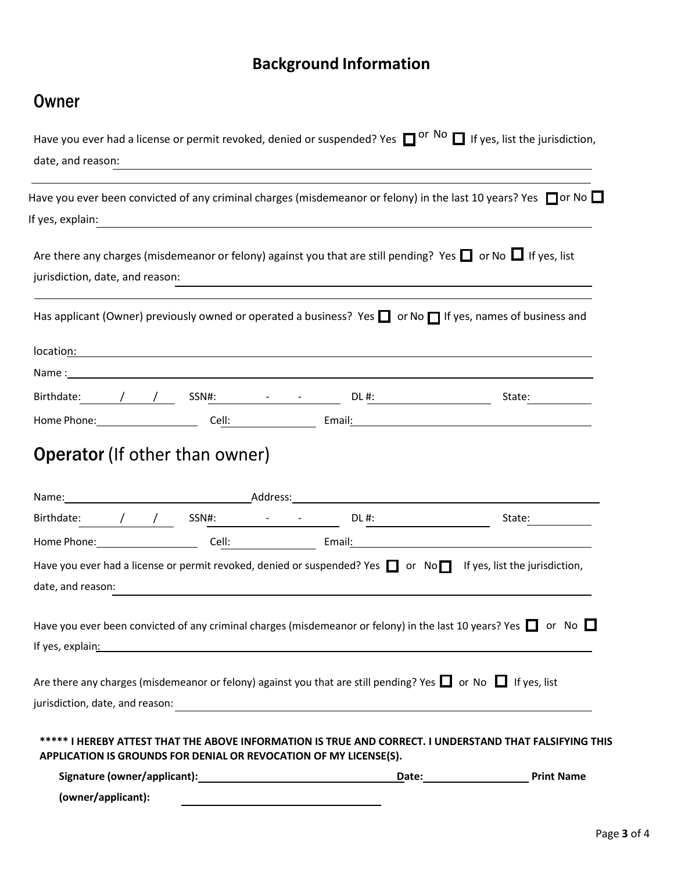#### **Background Information**

#### **Owner**

| Have you ever had a license or permit revoked, denied or suspended? Yes $\Box$ or No $\Box$ If yes, list the jurisdiction,<br>date, and reason:                                                                                                                                                                                                             |                                                                                                                                |                                                                                                                                                                                                                                                                                                                                                                                                              |
|-------------------------------------------------------------------------------------------------------------------------------------------------------------------------------------------------------------------------------------------------------------------------------------------------------------------------------------------------------------|--------------------------------------------------------------------------------------------------------------------------------|--------------------------------------------------------------------------------------------------------------------------------------------------------------------------------------------------------------------------------------------------------------------------------------------------------------------------------------------------------------------------------------------------------------|
| Have you ever been convicted of any criminal charges (misdemeanor or felony) in the last 10 years? Yes $\Box$ or No $\Box$                                                                                                                                                                                                                                  |                                                                                                                                |                                                                                                                                                                                                                                                                                                                                                                                                              |
| If yes, explain:                                                                                                                                                                                                                                                                                                                                            |                                                                                                                                |                                                                                                                                                                                                                                                                                                                                                                                                              |
| Are there any charges (misdemeanor or felony) against you that are still pending? Yes $\Box$ or No $\Box$ If yes, list<br>jurisdiction, date, and reason:                                                                                                                                                                                                   |                                                                                                                                |                                                                                                                                                                                                                                                                                                                                                                                                              |
| Has applicant (Owner) previously owned or operated a business? Yes $\Box$ or No $\Box$ If yes, names of business and                                                                                                                                                                                                                                        |                                                                                                                                |                                                                                                                                                                                                                                                                                                                                                                                                              |
|                                                                                                                                                                                                                                                                                                                                                             |                                                                                                                                |                                                                                                                                                                                                                                                                                                                                                                                                              |
|                                                                                                                                                                                                                                                                                                                                                             |                                                                                                                                |                                                                                                                                                                                                                                                                                                                                                                                                              |
| Birthdate: $\left(\frac{1}{2} + \frac{1}{2}\right)$ SSN#: $\frac{1}{2}$ DL#:<br>Home Phone: Cell: Cell: Email: Email:                                                                                                                                                                                                                                       |                                                                                                                                | State: $\frac{1}{\sqrt{1-\frac{1}{2}}\sqrt{1-\frac{1}{2}}\sqrt{1-\frac{1}{2}}\sqrt{1-\frac{1}{2}}\sqrt{1-\frac{1}{2}}\sqrt{1-\frac{1}{2}}\sqrt{1-\frac{1}{2}}\sqrt{1-\frac{1}{2}}\sqrt{1-\frac{1}{2}}\sqrt{1-\frac{1}{2}}\sqrt{1-\frac{1}{2}}\sqrt{1-\frac{1}{2}}\sqrt{1-\frac{1}{2}}\sqrt{1-\frac{1}{2}}\sqrt{1-\frac{1}{2}}\sqrt{1-\frac{1}{2}}\sqrt{1-\frac{1}{2}}\sqrt{1-\frac{1}{2}}\sqrt{1-\frac{1}{2$ |
| Birthdate: $\left/ \right/ \left/ \right$ SSN#: $\left. - \right. - \right.$ DL#:                                                                                                                                                                                                                                                                           |                                                                                                                                | State:                                                                                                                                                                                                                                                                                                                                                                                                       |
| Home Phone: Cell: Cell: Email: Email: Email: Email: Email: Email: Email: Email: Email: Email: Email: Email: Email: Email: Email: Email: Email: Email: Email: Email: Email: Email: Email: Email: Email: Email: Email: Email: Em                                                                                                                              |                                                                                                                                |                                                                                                                                                                                                                                                                                                                                                                                                              |
| Have you ever had a license or permit revoked, denied or suspended? Yes $\Box$ or No $\Box$ If yes, list the jurisdiction,<br>date, and reason:                                                                                                                                                                                                             |                                                                                                                                |                                                                                                                                                                                                                                                                                                                                                                                                              |
| Have you ever been convicted of any criminal charges (misdemeanor or felony) in the last 10 years? Yes $\Box$ or No $\Box$<br>If yes, explain: The contract of the contract of the contract of the contract of the contract of the contract of the contract of the contract of the contract of the contract of the contract of the contract of the contract |                                                                                                                                |                                                                                                                                                                                                                                                                                                                                                                                                              |
| Are there any charges (misdemeanor or felony) against you that are still pending? Yes $\Box$ or No $\Box$ If yes, list                                                                                                                                                                                                                                      |                                                                                                                                |                                                                                                                                                                                                                                                                                                                                                                                                              |
| jurisdiction, date, and reason:                                                                                                                                                                                                                                                                                                                             | <u> 1980 - Jan Barbara, martxa al II-lea (h. 1980).</u>                                                                        |                                                                                                                                                                                                                                                                                                                                                                                                              |
| ***** I HEREBY ATTEST THAT THE ABOVE INFORMATION IS TRUE AND CORRECT. I UNDERSTAND THAT FALSIFYING THIS<br>APPLICATION IS GROUNDS FOR DENIAL OR REVOCATION OF MY LICENSE(S).                                                                                                                                                                                |                                                                                                                                |                                                                                                                                                                                                                                                                                                                                                                                                              |
|                                                                                                                                                                                                                                                                                                                                                             |                                                                                                                                |                                                                                                                                                                                                                                                                                                                                                                                                              |
| (owner/applicant):                                                                                                                                                                                                                                                                                                                                          | <u> 1989 - Johann Barn, mars eta bainar eta politikaria (h. 1989).</u><br>1980 - Johann Barn, margolaria politikari (h. 1900). |                                                                                                                                                                                                                                                                                                                                                                                                              |